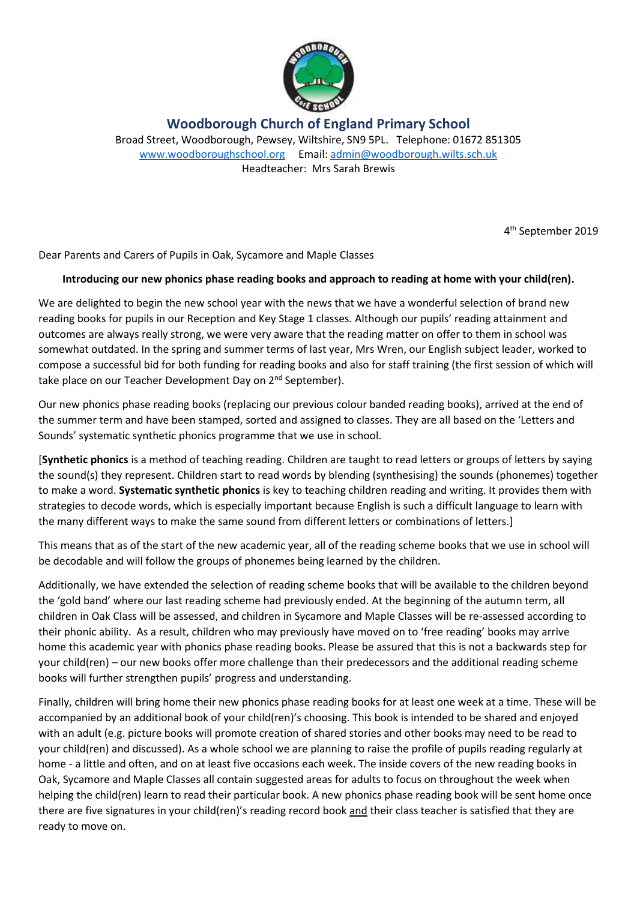

**Woodborough Church of England Primary School**

Broad Street, Woodborough, Pewsey, Wiltshire, SN9 5PL. Telephone: 01672 851305 [www.woodboroughschool.org](http://www.woodboroughschool.org/) Email: [admin@woodborough.wilts.sch.uk](mailto:admin@woodborough.wilts.sch.uk) Headteacher: Mrs Sarah Brewis

4 th September 2019

Dear Parents and Carers of Pupils in Oak, Sycamore and Maple Classes

## **Introducing our new phonics phase reading books and approach to reading at home with your child(ren).**

We are delighted to begin the new school year with the news that we have a wonderful selection of brand new reading books for pupils in our Reception and Key Stage 1 classes. Although our pupils' reading attainment and outcomes are always really strong, we were very aware that the reading matter on offer to them in school was somewhat outdated. In the spring and summer terms of last year, Mrs Wren, our English subject leader, worked to compose a successful bid for both funding for reading books and also for staff training (the first session of which will take place on our Teacher Development Day on 2<sup>nd</sup> September).

Our new phonics phase reading books (replacing our previous colour banded reading books), arrived at the end of the summer term and have been stamped, sorted and assigned to classes. They are all based on the 'Letters and Sounds' systematic synthetic phonics programme that we use in school.

[**Synthetic phonics** is a method of teaching reading. Children are taught to read letters or groups of letters by saying the sound(s) they represent. Children start to read words by blending (synthesising) the sounds (phonemes) together to make a word. **Systematic synthetic phonics** is key to teaching children reading and writing. It provides them with strategies to decode words, which is especially important because English is such a difficult language to learn with the many different ways to make the same sound from different letters or combinations of letters.]

This means that as of the start of the new academic year, all of the reading scheme books that we use in school will be decodable and will follow the groups of phonemes being learned by the children.

Additionally, we have extended the selection of reading scheme books that will be available to the children beyond the 'gold band' where our last reading scheme had previously ended. At the beginning of the autumn term, all children in Oak Class will be assessed, and children in Sycamore and Maple Classes will be re-assessed according to their phonic ability. As a result, children who may previously have moved on to 'free reading' books may arrive home this academic year with phonics phase reading books. Please be assured that this is not a backwards step for your child(ren) – our new books offer more challenge than their predecessors and the additional reading scheme books will further strengthen pupils' progress and understanding.

Finally, children will bring home their new phonics phase reading books for at least one week at a time. These will be accompanied by an additional book of your child(ren)'s choosing. This book is intended to be shared and enjoyed with an adult (e.g. picture books will promote creation of shared stories and other books may need to be read to your child(ren) and discussed). As a whole school we are planning to raise the profile of pupils reading regularly at home - a little and often, and on at least five occasions each week. The inside covers of the new reading books in Oak, Sycamore and Maple Classes all contain suggested areas for adults to focus on throughout the week when helping the child(ren) learn to read their particular book. A new phonics phase reading book will be sent home once there are five signatures in your child(ren)'s reading record book and their class teacher is satisfied that they are ready to move on.